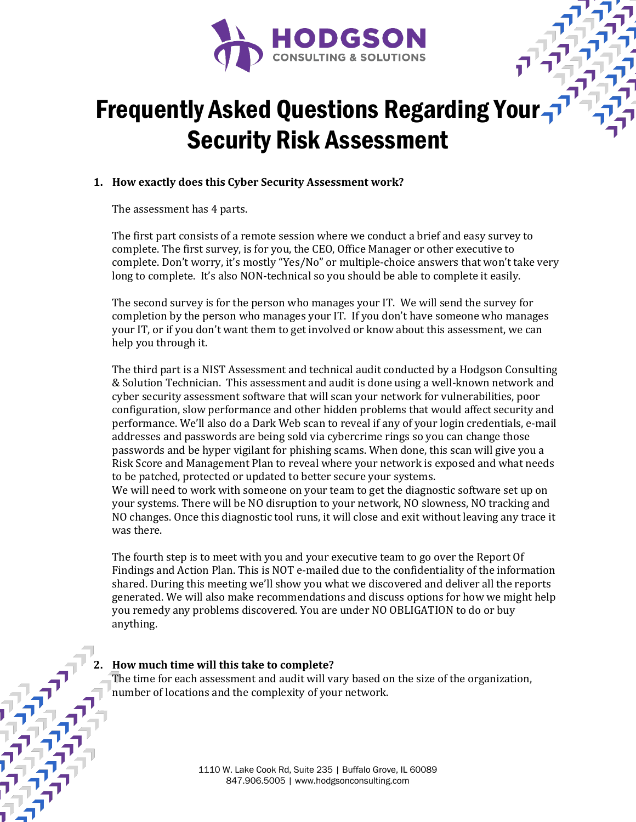

# Frequently Asked Questions Regarding Your Security Risk Assessment

## **1. How exactly does this Cyber Security Assessment work?**

The assessment has 4 parts.

The first part consists of a remote session where we conduct a brief and easy survey to complete. The first survey, is for you, the CEO, Office Manager or other executive to complete. Don't worry, it's mostly "Yes/No" or multiple-choice answers that won't take very long to complete. It's also NON-technical so you should be able to complete it easily.

The second survey is for the person who manages your IT. We will send the survey for completion by the person who manages your IT. If you don't have someone who manages your IT, or if you don't want them to get involved or know about this assessment, we can help you through it.

The third part is a NIST Assessment and technical audit conducted by a Hodgson Consulting & Solution Technician. This assessment and audit is done using a well-known network and cyber security assessment software that will scan your network for vulnerabilities, poor configuration, slow performance and other hidden problems that would affect security and performance. We'll also do a Dark Web scan to reveal if any of your login credentials, e-mail addresses and passwords are being sold via cybercrime rings so you can change those passwords and be hyper vigilant for phishing scams. When done, this scan will give you a Risk Score and Management Plan to reveal where your network is exposed and what needs to be patched, protected or updated to better secure your systems.

We will need to work with someone on your team to get the diagnostic software set up on your systems. There will be NO disruption to your network, NO slowness, NO tracking and NO changes. Once this diagnostic tool runs, it will close and exit without leaving any trace it was there.

The fourth step is to meet with you and your executive team to go over the Report Of Findings and Action Plan. This is NOT e-mailed due to the confidentiality of the information shared. During this meeting we'll show you what we discovered and deliver all the reports generated. We will also make recommendations and discuss options for how we might help you remedy any problems discovered. You are under NO OBLIGATION to do or buy anything. 

## **2. How much time will this take to complete?**

The time for each assessment and audit will vary based on the size of the organization, number of locations and the complexity of your network.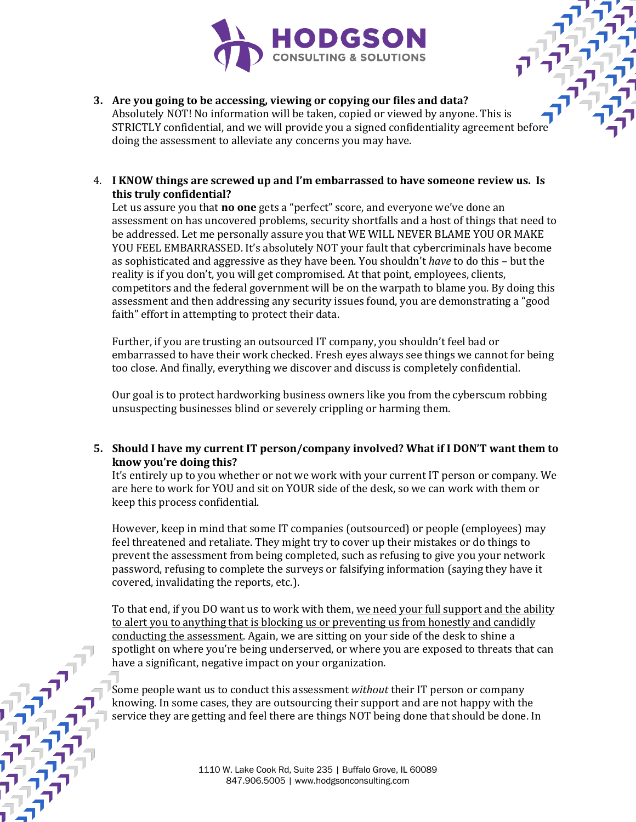

#### **3.** Are you going to be accessing, viewing or copying our files and data? Absolutely NOT! No information will be taken, copied or viewed by anyone. This is STRICTLY confidential, and we will provide you a signed confidentiality agreement befor doing the assessment to alleviate any concerns you may have.

## 4. I KNOW things are screwed up and I'm embarrassed to have someone review us. Is **this truly confidential?**

Let us assure you that **no one** gets a "perfect" score, and everyone we've done an assessment on has uncovered problems, security shortfalls and a host of things that need to be addressed. Let me personally assure you that WE WILL NEVER BLAME YOU OR MAKE YOU FEEL EMBARRASSED. It's absolutely NOT your fault that cybercriminals have become as sophisticated and aggressive as they have been. You shouldn't *have* to do this – but the reality is if you don't, you will get compromised. At that point, employees, clients, competitors and the federal government will be on the warpath to blame you. By doing this assessment and then addressing any security issues found, you are demonstrating a "good faith" effort in attempting to protect their data.

Further, if you are trusting an outsourced IT company, you shouldn't feel bad or embarrassed to have their work checked. Fresh eyes always see things we cannot for being too close. And finally, everything we discover and discuss is completely confidential.

Our goal is to protect hardworking business owners like you from the cyberscum robbing unsuspecting businesses blind or severely crippling or harming them.

## **5.** Should I have my current IT person/company involved? What if I DON'T want them to **know you're doing this?**

It's entirely up to you whether or not we work with your current IT person or company. We are here to work for YOU and sit on YOUR side of the desk, so we can work with them or keep this process confidential.

However, keep in mind that some IT companies (outsourced) or people (employees) may feel threatened and retaliate. They might try to cover up their mistakes or do things to prevent the assessment from being completed, such as refusing to give you your network password, refusing to complete the surveys or falsifying information (saying they have it covered, invalidating the reports, etc.).

To that end, if you DO want us to work with them, we need your full support and the ability to alert you to anything that is blocking us or preventing us from honestly and candidly conducting the assessment. Again, we are sitting on your side of the desk to shine a spotlight on where you're being underserved, or where you are exposed to threats that can have a significant, negative impact on your organization.

Some people want us to conduct this assessment *without* their IT person or company knowing. In some cases, they are outsourcing their support and are not happy with the service they are getting and feel there are things NOT being done that should be done. In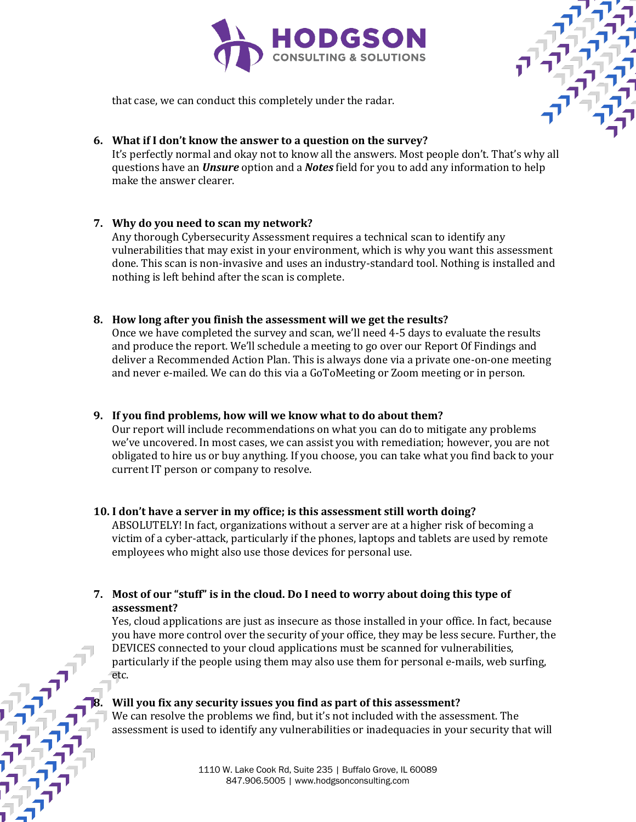



that case, we can conduct this completely under the radar.

#### **6.** What if I don't know the answer to a question on the survey?

It's perfectly normal and okay not to know all the answers. Most people don't. That's why all questions have an *Unsure* option and a *Notes* field for you to add any information to help make the answer clearer.

## **7. Why do you need to scan my network?**

Any thorough Cybersecurity Assessment requires a technical scan to identify any vulnerabilities that may exist in your environment, which is why you want this assessment done. This scan is non-invasive and uses an industry-standard tool. Nothing is installed and nothing is left behind after the scan is complete.

#### 8. How long after you finish the assessment will we get the results?

Once we have completed the survey and scan, we'll need 4-5 days to evaluate the results and produce the report. We'll schedule a meeting to go over our Report Of Findings and deliver a Recommended Action Plan. This is always done via a private one-on-one meeting and never e-mailed. We can do this via a GoToMeeting or Zoom meeting or in person.

#### **9.** If you find problems, how will we know what to do about them?

Our report will include recommendations on what you can do to mitigate any problems we've uncovered. In most cases, we can assist you with remediation; however, you are not obligated to hire us or buy anything. If you choose, you can take what you find back to your current IT person or company to resolve.

## **10. I don't have a server in my office; is this assessment still worth doing?**

ABSOLUTELY! In fact, organizations without a server are at a higher risk of becoming a victim of a cyber-attack, particularly if the phones, laptops and tablets are used by remote employees who might also use those devices for personal use.

#### **7.** Most of our "stuff" is in the cloud. Do I need to worry about doing this type of **assessment?**

Yes, cloud applications are just as insecure as those installed in your office. In fact, because you have more control over the security of your office, they may be less secure. Further, the DEVICES connected to your cloud applications must be scanned for vulnerabilities, particularly if the people using them may also use them for personal e-mails, web surfing, etc.

#### **Will you fix any security issues you find as part of this assessment?**

We can resolve the problems we find, but it's not included with the assessment. The assessment is used to identify any vulnerabilities or inadequacies in your security that will